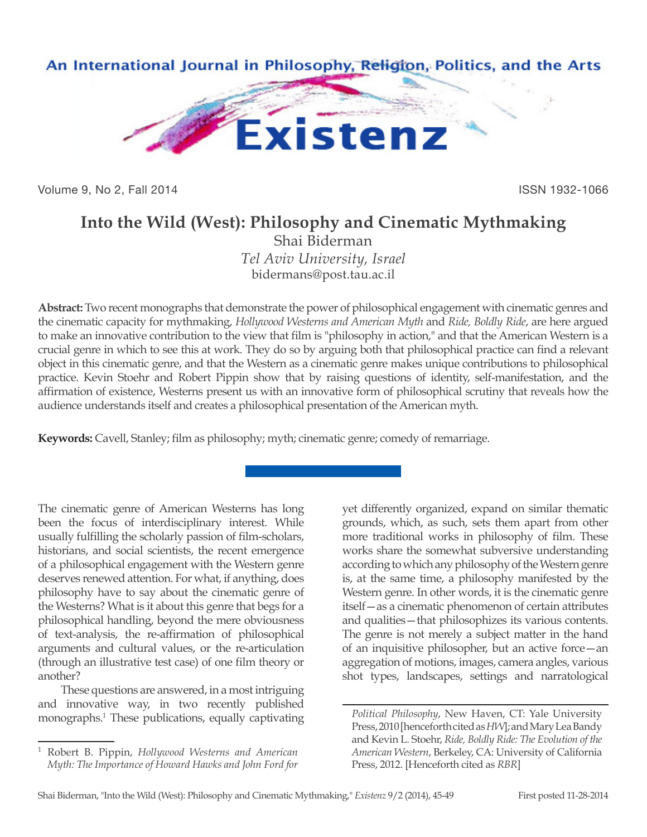

Volume 9, No 2, Fall 2014 **ISSN 1932-1066** 

## **Into the Wild (West): Philosophy and Cinematic Mythmaking**

Shai Biderman *Tel Aviv University, Israel* bidermans@post.tau.ac.il

**Abstract:** Two recent monographs that demonstrate the power of philosophical engagement with cinematic genres and the cinematic capacity for mythmaking, *Hollywood Westerns and American Myth* and *Ride, Boldly Ride*, are here argued to make an innovative contribution to the view that film is "philosophy in action," and that the American Western is a crucial genre in which to see this at work. They do so by arguing both that philosophical practice can find a relevant object in this cinematic genre, and that the Western as a cinematic genre makes unique contributions to philosophical practice. Kevin Stoehr and Robert Pippin show that by raising questions of identity, self-manifestation, and the affirmation of existence, Westerns present us with an innovative form of philosophical scrutiny that reveals how the audience understands itself and creates a philosophical presentation of the American myth.

**Keywords:** Cavell, Stanley; film as philosophy; myth; cinematic genre; comedy of remarriage.

The cinematic genre of American Westerns has long been the focus of interdisciplinary interest. While usually fulfilling the scholarly passion of film-scholars, historians, and social scientists, the recent emergence of a philosophical engagement with the Western genre deserves renewed attention. For what, if anything, does philosophy have to say about the cinematic genre of the Westerns? What is it about this genre that begs for a philosophical handling, beyond the mere obviousness of text-analysis, the re-affirmation of philosophical arguments and cultural values, or the re-articulation (through an illustrative test case) of one film theory or another?

These questions are answered, in a most intriguing and innovative way, in two recently published monographs.1 These publications, equally captivating yet differently organized, expand on similar thematic grounds, which, as such, sets them apart from other more traditional works in philosophy of film. These works share the somewhat subversive understanding according to which any philosophy of the Western genre is, at the same time, a philosophy manifested by the Western genre. In other words, it is the cinematic genre itself—as a cinematic phenomenon of certain attributes and qualities—that philosophizes its various contents. The genre is not merely a subject matter in the hand of an inquisitive philosopher, but an active force—an aggregation of motions, images, camera angles, various shot types, landscapes, settings and narratological

<sup>1</sup> Robert B. Pippin, *Hollywood Westerns and American Myth: The Importance of Howard Hawks and John Ford for* 

*Political Philosophy*, New Haven, CT: Yale University Press, 2010 [henceforth cited as *HW*]; and Mary Lea Bandy and Kevin L. Stoehr, *Ride, Boldly Ride: The Evolution of the American Western*, Berkeley, CA: University of California Press, 2012. [Henceforth cited as *RBR*]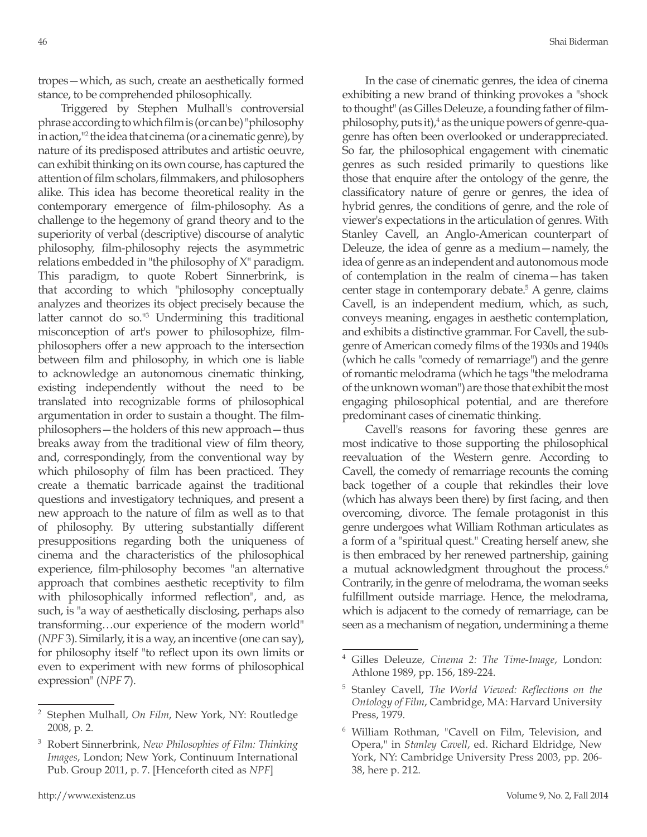tropes—which, as such, create an aesthetically formed stance, to be comprehended philosophically.

Triggered by Stephen Mulhall's controversial phrase according to which film is (or can be) "philosophy in action,"<sup>2</sup> the idea that cinema (or a cinematic genre), by nature of its predisposed attributes and artistic oeuvre, can exhibit thinking on its own course, has captured the attention of film scholars, filmmakers, and philosophers alike. This idea has become theoretical reality in the contemporary emergence of film-philosophy. As a challenge to the hegemony of grand theory and to the superiority of verbal (descriptive) discourse of analytic philosophy, film-philosophy rejects the asymmetric relations embedded in "the philosophy of X" paradigm. This paradigm, to quote Robert Sinnerbrink, is that according to which "philosophy conceptually analyzes and theorizes its object precisely because the latter cannot do so."3 Undermining this traditional misconception of art's power to philosophize, filmphilosophers offer a new approach to the intersection between film and philosophy, in which one is liable to acknowledge an autonomous cinematic thinking, existing independently without the need to be translated into recognizable forms of philosophical argumentation in order to sustain a thought. The filmphilosophers—the holders of this new approach—thus breaks away from the traditional view of film theory, and, correspondingly, from the conventional way by which philosophy of film has been practiced. They create a thematic barricade against the traditional questions and investigatory techniques, and present a new approach to the nature of film as well as to that of philosophy. By uttering substantially different presuppositions regarding both the uniqueness of cinema and the characteristics of the philosophical experience, film-philosophy becomes "an alternative approach that combines aesthetic receptivity to film with philosophically informed reflection", and, as such, is "a way of aesthetically disclosing, perhaps also transforming…our experience of the modern world" (*NPF* 3). Similarly, it is a way, an incentive (one can say), for philosophy itself "to reflect upon its own limits or even to experiment with new forms of philosophical expression" (*NPF* 7).

In the case of cinematic genres, the idea of cinema exhibiting a new brand of thinking provokes a "shock to thought" (as Gilles Deleuze, a founding father of filmphilosophy, puts it),<sup>4</sup> as the unique powers of genre-quagenre has often been overlooked or underappreciated. So far, the philosophical engagement with cinematic genres as such resided primarily to questions like those that enquire after the ontology of the genre, the classificatory nature of genre or genres, the idea of hybrid genres, the conditions of genre, and the role of viewer's expectations in the articulation of genres. With Stanley Cavell, an Anglo-American counterpart of Deleuze, the idea of genre as a medium—namely, the idea of genre as an independent and autonomous mode of contemplation in the realm of cinema—has taken center stage in contemporary debate.5 A genre, claims Cavell, is an independent medium, which, as such, conveys meaning, engages in aesthetic contemplation, and exhibits a distinctive grammar. For Cavell, the subgenre of American comedy films of the 1930s and 1940s (which he calls "comedy of remarriage") and the genre of romantic melodrama (which he tags "the melodrama of the unknown woman") are those that exhibit the most engaging philosophical potential, and are therefore predominant cases of cinematic thinking.

Cavell's reasons for favoring these genres are most indicative to those supporting the philosophical reevaluation of the Western genre. According to Cavell, the comedy of remarriage recounts the coming back together of a couple that rekindles their love (which has always been there) by first facing, and then overcoming, divorce. The female protagonist in this genre undergoes what William Rothman articulates as a form of a "spiritual quest." Creating herself anew, she is then embraced by her renewed partnership, gaining a mutual acknowledgment throughout the process.<sup>6</sup> Contrarily, in the genre of melodrama, the woman seeks fulfillment outside marriage. Hence, the melodrama, which is adjacent to the comedy of remarriage, can be seen as a mechanism of negation, undermining a theme

<sup>2</sup> Stephen Mulhall, *On Film*, New York, NY: Routledge 2008, p. 2.

<sup>3</sup> Robert Sinnerbrink, *New Philosophies of Film: Thinking Images*, London; New York, Continuum International Pub. Group 2011, p. 7. [Henceforth cited as *NPF*]

<sup>4</sup> Gilles Deleuze, *Cinema 2: The Time-Image*, London: Athlone 1989, pp. 156, 189-224.

<sup>5</sup> Stanley Cavell, *The World Viewed: Reflections on the Ontology of Film*, Cambridge, MA: Harvard University Press, 1979.

<sup>6</sup> William Rothman, "Cavell on Film, Television, and Opera," in *Stanley Cavell*, ed. Richard Eldridge, New York, NY: Cambridge University Press 2003, pp. 206- 38, here p. 212.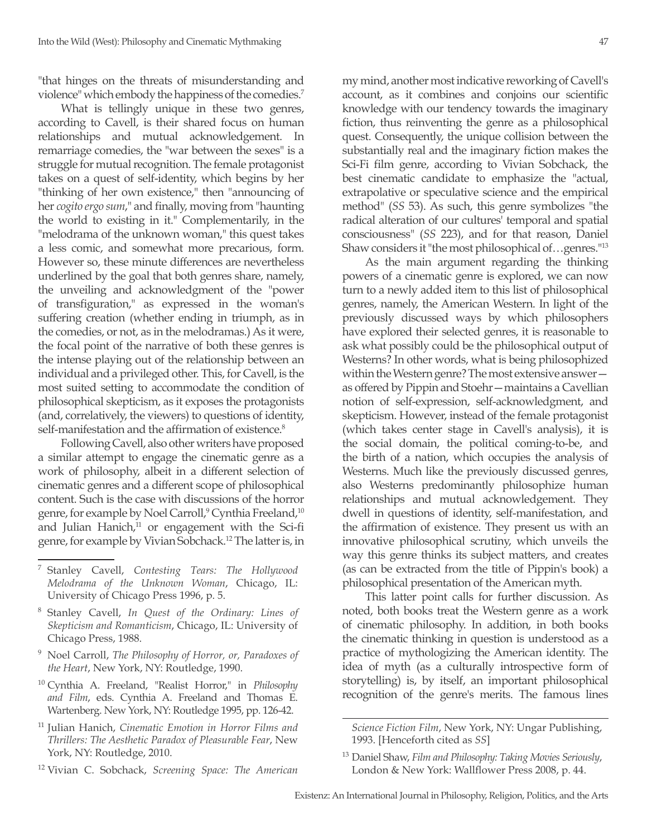"that hinges on the threats of misunderstanding and violence" which embody the happiness of the comedies.7

What is tellingly unique in these two genres, according to Cavell, is their shared focus on human relationships and mutual acknowledgement. In remarriage comedies, the "war between the sexes" is a struggle for mutual recognition. The female protagonist takes on a quest of self-identity, which begins by her "thinking of her own existence," then "announcing of her *cogito ergo sum*," and finally, moving from "haunting the world to existing in it." Complementarily, in the "melodrama of the unknown woman," this quest takes a less comic, and somewhat more precarious, form. However so, these minute differences are nevertheless underlined by the goal that both genres share, namely, the unveiling and acknowledgment of the "power of transfiguration," as expressed in the woman's suffering creation (whether ending in triumph, as in the comedies, or not, as in the melodramas.) As it were, the focal point of the narrative of both these genres is the intense playing out of the relationship between an individual and a privileged other. This, for Cavell, is the most suited setting to accommodate the condition of philosophical skepticism, as it exposes the protagonists (and, correlatively, the viewers) to questions of identity, self-manifestation and the affirmation of existence.<sup>8</sup>

Following Cavell, also other writers have proposed a similar attempt to engage the cinematic genre as a work of philosophy, albeit in a different selection of cinematic genres and a different scope of philosophical content. Such is the case with discussions of the horror genre, for example by Noel Carroll,<sup>9</sup> Cynthia Freeland,<sup>10</sup> and Julian Hanich, $11$  or engagement with the Sci-fi genre, for example by Vivian Sobchack.12 The latter is, in

- <sup>8</sup> Stanley Cavell, *In Quest of the Ordinary: Lines of Skepticism and Romanticism*, Chicago, IL: University of Chicago Press, 1988.
- <sup>9</sup> Noel Carroll, *The Philosophy of Horror, or, Paradoxes of the Heart*, New York, NY: Routledge, 1990.
- <sup>10</sup> Cynthia A. Freeland, "Realist Horror," in *Philosophy and Film*, eds. Cynthia A. Freeland and Thomas E. Wartenberg. New York, NY: Routledge 1995, pp. 126-42.
- <sup>11</sup> Julian Hanich, *Cinematic Emotion in Horror Films and Thrillers: The Aesthetic Paradox of Pleasurable Fear*, New York, NY: Routledge, 2010.
- <sup>12</sup> Vivian C. Sobchack, *Screening Space: The American*

my mind, another most indicative reworking of Cavell's account, as it combines and conjoins our scientific knowledge with our tendency towards the imaginary fiction, thus reinventing the genre as a philosophical quest. Consequently, the unique collision between the substantially real and the imaginary fiction makes the Sci-Fi film genre, according to Vivian Sobchack, the best cinematic candidate to emphasize the "actual, extrapolative or speculative science and the empirical method" (*SS* 53). As such, this genre symbolizes "the radical alteration of our cultures' temporal and spatial consciousness" (*SS* 223), and for that reason, Daniel Shaw considers it "the most philosophical of…genres."13

As the main argument regarding the thinking powers of a cinematic genre is explored, we can now turn to a newly added item to this list of philosophical genres, namely, the American Western. In light of the previously discussed ways by which philosophers have explored their selected genres, it is reasonable to ask what possibly could be the philosophical output of Westerns? In other words, what is being philosophized within the Western genre? The most extensive answer as offered by Pippin and Stoehr—maintains a Cavellian notion of self-expression, self-acknowledgment, and skepticism. However, instead of the female protagonist (which takes center stage in Cavell's analysis), it is the social domain, the political coming-to-be, and the birth of a nation, which occupies the analysis of Westerns. Much like the previously discussed genres, also Westerns predominantly philosophize human relationships and mutual acknowledgement. They dwell in questions of identity, self-manifestation, and the affirmation of existence. They present us with an innovative philosophical scrutiny, which unveils the way this genre thinks its subject matters, and creates (as can be extracted from the title of Pippin's book) a philosophical presentation of the American myth.

This latter point calls for further discussion. As noted, both books treat the Western genre as a work of cinematic philosophy. In addition, in both books the cinematic thinking in question is understood as a practice of mythologizing the American identity. The idea of myth (as a culturally introspective form of storytelling) is, by itself, an important philosophical recognition of the genre's merits. The famous lines

<sup>7</sup> Stanley Cavell, *Contesting Tears: The Hollywood Melodrama of the Unknown Woman*, Chicago, IL: University of Chicago Press 1996, p. 5.

*Science Fiction Film*, New York, NY: Ungar Publishing, 1993. [Henceforth cited as *SS*]

<sup>13</sup> Daniel Shaw, *Film and Philosophy: Taking Movies Seriously*, London & New York: Wallflower Press 2008, p. 44.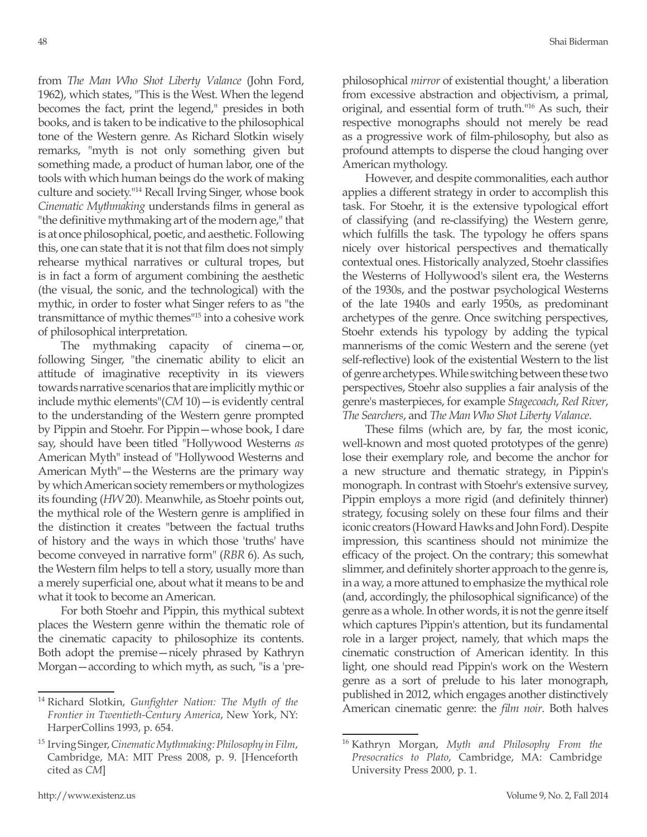from *The Man Who Shot Liberty Valance* (John Ford, 1962), which states, "This is the West. When the legend becomes the fact, print the legend," presides in both books, and is taken to be indicative to the philosophical tone of the Western genre. As Richard Slotkin wisely remarks, "myth is not only something given but something made, a product of human labor, one of the tools with which human beings do the work of making culture and society."<sup>14</sup> Recall Irving Singer, whose book *Cinematic Mythmaking* understands films in general as "the definitive mythmaking art of the modern age," that is at once philosophical, poetic, and aesthetic. Following this, one can state that it is not that film does not simply rehearse mythical narratives or cultural tropes, but is in fact a form of argument combining the aesthetic (the visual, the sonic, and the technological) with the mythic, in order to foster what Singer refers to as "the transmittance of mythic themes"15 into a cohesive work of philosophical interpretation.

The mythmaking capacity of cinema—or, following Singer, "the cinematic ability to elicit an attitude of imaginative receptivity in its viewers towards narrative scenarios that are implicitly mythic or include mythic elements"(*CM* 10)—is evidently central to the understanding of the Western genre prompted by Pippin and Stoehr. For Pippin—whose book, I dare say, should have been titled "Hollywood Westerns *as*  American Myth" instead of "Hollywood Westerns and American Myth"—the Westerns are the primary way by which American society remembers or mythologizes its founding (*HW* 20). Meanwhile, as Stoehr points out, the mythical role of the Western genre is amplified in the distinction it creates "between the factual truths of history and the ways in which those 'truths' have become conveyed in narrative form" (*RBR* 6). As such, the Western film helps to tell a story, usually more than a merely superficial one, about what it means to be and what it took to become an American.

For both Stoehr and Pippin, this mythical subtext places the Western genre within the thematic role of the cinematic capacity to philosophize its contents. Both adopt the premise—nicely phrased by Kathryn Morgan—according to which myth, as such, "is a 'prephilosophical *mirror* of existential thought,' a liberation from excessive abstraction and objectivism, a primal, original, and essential form of truth."<sup>16</sup> As such, their respective monographs should not merely be read as a progressive work of film-philosophy, but also as profound attempts to disperse the cloud hanging over American mythology.

However, and despite commonalities, each author applies a different strategy in order to accomplish this task. For Stoehr, it is the extensive typological effort of classifying (and re-classifying) the Western genre, which fulfills the task. The typology he offers spans nicely over historical perspectives and thematically contextual ones. Historically analyzed, Stoehr classifies the Westerns of Hollywood's silent era, the Westerns of the 1930s, and the postwar psychological Westerns of the late 1940s and early 1950s, as predominant archetypes of the genre. Once switching perspectives, Stoehr extends his typology by adding the typical mannerisms of the comic Western and the serene (yet self-reflective) look of the existential Western to the list of genre archetypes. While switching between these two perspectives, Stoehr also supplies a fair analysis of the genre's masterpieces, for example *Stagecoach*, *Red River*, *The Searchers*, and *The Man Who Shot Liberty Valance*.

These films (which are, by far, the most iconic, well-known and most quoted prototypes of the genre) lose their exemplary role, and become the anchor for a new structure and thematic strategy, in Pippin's monograph. In contrast with Stoehr's extensive survey, Pippin employs a more rigid (and definitely thinner) strategy, focusing solely on these four films and their iconic creators (Howard Hawks and John Ford). Despite impression, this scantiness should not minimize the efficacy of the project. On the contrary; this somewhat slimmer, and definitely shorter approach to the genre is, in a way, a more attuned to emphasize the mythical role (and, accordingly, the philosophical significance) of the genre as a whole. In other words, it is not the genre itself which captures Pippin's attention, but its fundamental role in a larger project, namely, that which maps the cinematic construction of American identity. In this light, one should read Pippin's work on the Western genre as a sort of prelude to his later monograph, published in 2012, which engages another distinctively American cinematic genre: the *film noir*. Both halves

<sup>14</sup> Richard Slotkin, *Gunfighter Nation: The Myth of the Frontier in Twentieth-Century America*, New York, NY: HarperCollins 1993, p. 654.

<sup>15</sup> Irving Singer, *Cinematic Mythmaking: Philosophy in Film*, Cambridge, MA: MIT Press 2008, p. 9. [Henceforth cited as *CM*]

<sup>16</sup> Kathryn Morgan, *Myth and Philosophy From the Presocratics to Plato*, Cambridge, MA: Cambridge University Press 2000, p. 1.